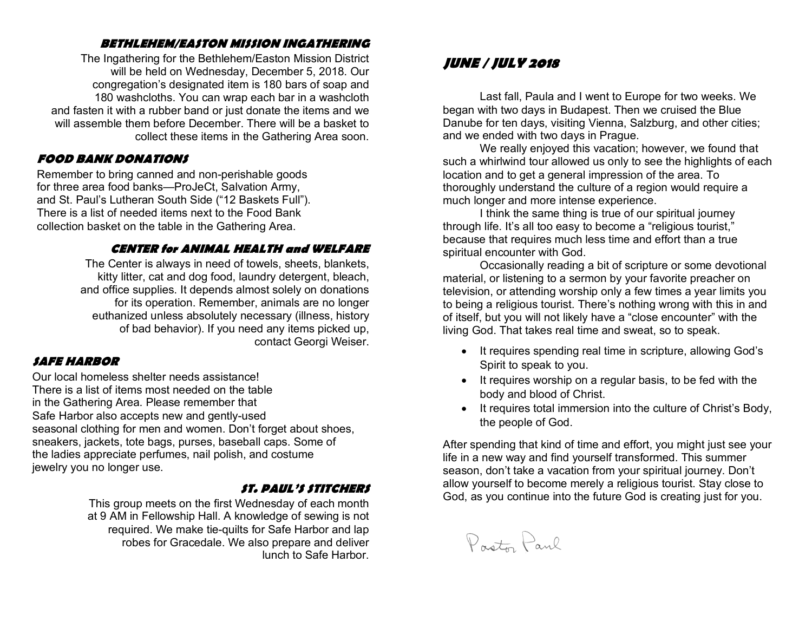#### **BETHLEHEM/EASTON MISSION INGATHERING**

The Ingathering for the Bethlehem/Easton Mission District will be held on Wednesday, December 5, 2018. Our congregation's designated item is 180 bars of soap and 180 washcloths. You can wrap each bar in a washcloth and fasten it with a rubber band or just donate the items and we will assemble them before December. There will be a basket to collect these items in the Gathering Area soon.

#### **FOOD BANK DONATIONS**

Remember to bring canned and non-perishable goods for three area food banks—ProJeCt, Salvation Army, and St. Paul's Lutheran South Side ("12 Baskets Full"). There is a list of needed items next to the Food Bank collection basket on the table in the Gathering Area.

#### **CENTER for ANIMAL HEALTH and WELFARE**

The Center is always in need of towels, sheets, blankets, kitty litter, cat and dog food, laundry detergent, bleach, and office supplies. It depends almost solely on donations for its operation. Remember, animals are no longer euthanized unless absolutely necessary (illness, history of bad behavior). If you need any items picked up, contact Georgi Weiser.

#### **SAFE HARBOR**

Our local homeless shelter needs assistance! There is a list of items most needed on the table in the Gathering Area. Please remember that Safe Harbor also accepts new and gently-used seasonal clothing for men and women. Don't forget about shoes, sneakers, jackets, tote bags, purses, baseball caps. Some of the ladies appreciate perfumes, nail polish, and costume jewelry you no longer use.

#### **ST. PAUL'S STITCHERS**

This group meets on the first Wednesday of each month at 9 AM in Fellowship Hall. A knowledge of sewing is not required. We make tie-quilts for Safe Harbor and lap robes for Gracedale. We also prepare and deliver lunch to Safe Harbor.

### **JUNE / JULY 2018**

Last fall, Paula and I went to Europe for two weeks. We began with two days in Budapest. Then we cruised the Blue Danube for ten days, visiting Vienna, Salzburg, and other cities; and we ended with two days in Prague.

We really enjoyed this vacation; however, we found that such a whirlwind tour allowed us only to see the highlights of each location and to get a general impression of the area. To thoroughly understand the culture of a region would require a much longer and more intense experience.

I think the same thing is true of our spiritual journey through life. It's all too easy to become a "religious tourist," because that requires much less time and effort than a true spiritual encounter with God.

Occasionally reading a bit of scripture or some devotional material, or listening to a sermon by your favorite preacher on television, or attending worship only a few times a year limits you to being a religious tourist. There's nothing wrong with this in and of itself, but you will not likely have a "close encounter" with the living God. That takes real time and sweat, so to speak.

- It requires spending real time in scripture, allowing God's Spirit to speak to you.
- It requires worship on a regular basis, to be fed with the body and blood of Christ.
- It requires total immersion into the culture of Christ's Body, the people of God.

After spending that kind of time and effort, you might just see your life in a new way and find yourself transformed. This summer season, don't take a vacation from your spiritual journey. Don't allow yourself to become merely a religious tourist. Stay close to God, as you continue into the future God is creating just for you.

Points Paul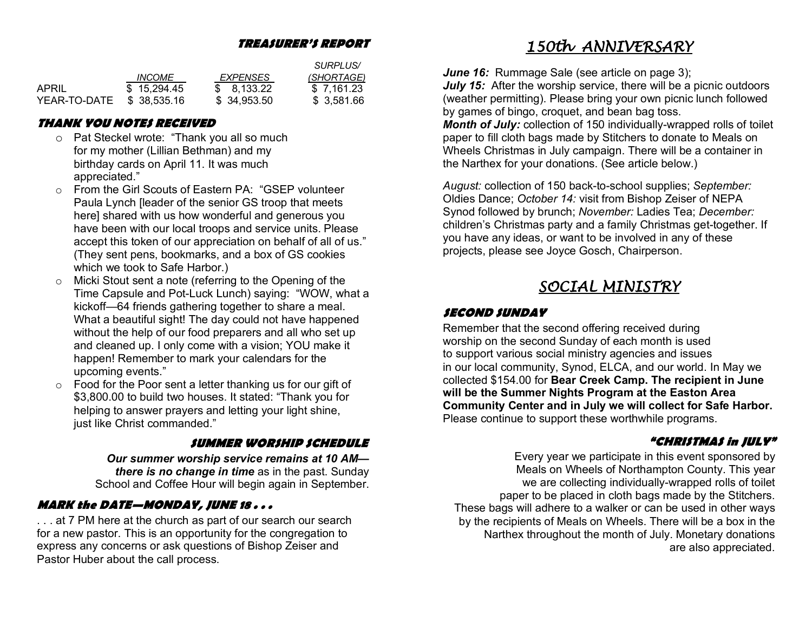#### **TREASURER'S REPORT**

|              |               |                 | <i>SURPLUS</i> / |
|--------------|---------------|-----------------|------------------|
|              | <i>INCOME</i> | <i>EXPENSES</i> | (SHORTAGE)       |
| APRIL        | \$15.294.45   | \$ 8.133.22     | \$7.161.23       |
| YEAR-TO-DATE | \$38,535,16   | \$34,953,50     | \$ 3,581.66      |

#### **THANK YOU NOTES RECEIVED**

- o Pat Steckel wrote: "Thank you all so much for my mother (Lillian Bethman) and my birthday cards on April 11. It was much appreciated."
- o From the Girl Scouts of Eastern PA: "GSEP volunteer Paula Lynch [leader of the senior GS troop that meets here] shared with us how wonderful and generous you have been with our local troops and service units. Please accept this token of our appreciation on behalf of all of us." (They sent pens, bookmarks, and a box of GS cookies which we took to Safe Harbor.)
- o Micki Stout sent a note (referring to the Opening of the Time Capsule and Pot-Luck Lunch) saying: "WOW, what a kickoff—64 friends gathering together to share a meal. What a beautiful sight! The day could not have happened without the help of our food preparers and all who set up and cleaned up. I only come with a vision; YOU make it happen! Remember to mark your calendars for the upcoming events."
- o Food for the Poor sent a letter thanking us for our gift of \$3,800.00 to build two houses. It stated: "Thank you for helping to answer prayers and letting your light shine, just like Christ commanded."

#### **SUMMER WORSHIP SCHEDULE**

*Our summer worship service remains at 10 AM there is no change in time* as in the past. Sunday School and Coffee Hour will begin again in September.

#### **MARK the DATE—MONDAY, JUNE 18 . . .**

. . . at 7 PM here at the church as part of our search our search for a new pastor. This is an opportunity for the congregation to express any concerns or ask questions of Bishop Zeiser and Pastor Huber about the call process.

### *150th ANNIVERSARY*

*June 16:* Rummage Sale (see article on page 3);

*July 15:* After the worship service, there will be a picnic outdoors (weather permitting). Please bring your own picnic lunch followed by games of bingo, croquet, and bean bag toss.

*Month of July:* collection of 150 individually-wrapped rolls of toilet paper to fill cloth bags made by Stitchers to donate to Meals on Wheels Christmas in July campaign. There will be a container in the Narthex for your donations. (See article below.)

*August:* collection of 150 back-to-school supplies; *September:* Oldies Dance; *October 14:* visit from Bishop Zeiser of NEPA Synod followed by brunch; *November:* Ladies Tea; *December:* children's Christmas party and a family Christmas get-together. If you have any ideas, or want to be involved in any of these projects, please see Joyce Gosch, Chairperson.

### *SOCIAL MINISTRY*

#### **SECOND SUNDAY**

Remember that the second offering received during worship on the second Sunday of each month is used to support various social ministry agencies and issues in our local community, Synod, ELCA, and our world. In May we collected \$154.00 for **Bear Creek Camp. The recipient in June will be the Summer Nights Program at the Easton Area Community Center and in July we will collect for Safe Harbor.**  Please continue to support these worthwhile programs.

### **"CHRISTMAS in JULY"**

Every year we participate in this event sponsored by Meals on Wheels of Northampton County. This year we are collecting individually-wrapped rolls of toilet paper to be placed in cloth bags made by the Stitchers. These bags will adhere to a walker or can be used in other ways by the recipients of Meals on Wheels. There will be a box in the Narthex throughout the month of July. Monetary donations are also appreciated.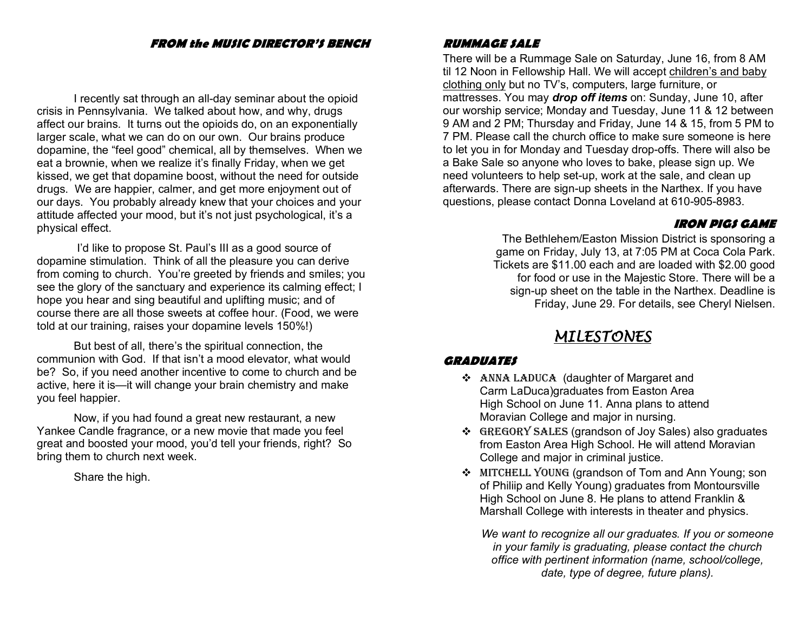#### **FROM the MUSIC DIRECTOR'S BENCH**

I recently sat through an all-day seminar about the opioid crisis in Pennsylvania. We talked about how, and why, drugs affect our brains. It turns out the opioids do, on an exponentially larger scale, what we can do on our own. Our brains produce dopamine, the "feel good" chemical, all by themselves. When we eat a brownie, when we realize it's finally Friday, when we get kissed, we get that dopamine boost, without the need for outside drugs. We are happier, calmer, and get more enjoyment out of our days. You probably already knew that your choices and your attitude affected your mood, but it's not just psychological, it's a physical effect.

I'd like to propose St. Paul's III as a good source of dopamine stimulation. Think of all the pleasure you can derive from coming to church. You're greeted by friends and smiles; you see the glory of the sanctuary and experience its calming effect; I hope you hear and sing beautiful and uplifting music; and of course there are all those sweets at coffee hour. (Food, we were told at our training, raises your dopamine levels 150%!)

But best of all, there's the spiritual connection, the communion with God. If that isn't a mood elevator, what would be? So, if you need another incentive to come to church and be active, here it is—it will change your brain chemistry and make you feel happier.

Now, if you had found a great new restaurant, a new Yankee Candle fragrance, or a new movie that made you feel great and boosted your mood, you'd tell your friends, right? So bring them to church next week.

Share the high.

#### **RUMMAGE SALE**

There will be a Rummage Sale on Saturday, June 16, from 8 AM til 12 Noon in Fellowship Hall. We will accept children's and baby clothing only but no TV's, computers, large furniture, or mattresses. You may *drop off items* on: Sunday, June 10, after our worship service; Monday and Tuesday, June 11 & 12 between 9 AM and 2 PM; Thursday and Friday, June 14 & 15, from 5 PM to 7 PM. Please call the church office to make sure someone is here to let you in for Monday and Tuesday drop-offs. There will also be a Bake Sale so anyone who loves to bake, please sign up. We need volunteers to help set-up, work at the sale, and clean up afterwards. There are sign-up sheets in the Narthex. If you have questions, please contact Donna Loveland at 610-905-8983.

#### **IRON PIGS GAME**

The Bethlehem/Easton Mission District is sponsoring a game on Friday, July 13, at 7:05 PM at Coca Cola Park. Tickets are \$11.00 each and are loaded with \$2.00 good for food or use in the Majestic Store. There will be a sign-up sheet on the table in the Narthex. Deadline is Friday, June 29. For details, see Cheryl Nielsen.

### *MILESTONES*

#### **GRADUATES**

- v ANNA LADUCA (daughter of Margaret and Carm LaDuca)graduates from Easton Area High School on June 11. Anna plans to attend Moravian College and major in nursing.
- v GREGORY SALES (grandson of Joy Sales) also graduates from Easton Area High School. He will attend Moravian College and major in criminal justice.
- v MITCHELL YOUNG (grandson of Tom and Ann Young; son of Philiip and Kelly Young) graduates from Montoursville High School on June 8. He plans to attend Franklin & Marshall College with interests in theater and physics.

*We want to recognize all our graduates. If you or someone in your family is graduating, please contact the church office with pertinent information (name, school/college, date, type of degree, future plans).*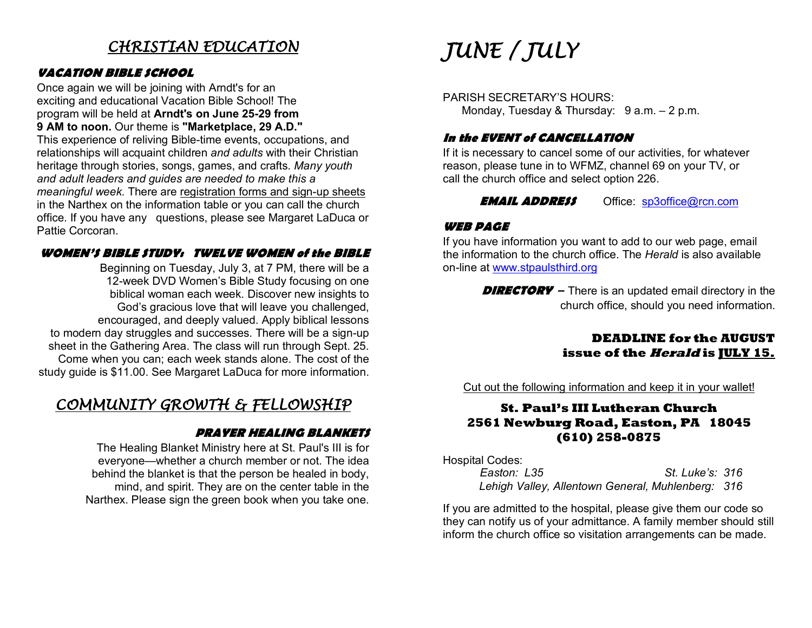### *CHRISTIAN EDUCATION*

#### **VACATION BIBLE SCHOOL**

Once again we will be joining with Arndt's for an exciting and educational Vacation Bible School! The program will be held at **Arndt's on June 25-29 from 9 AM to noon.** Our theme is **"Marketplace, 29 A.D."**

This experience of reliving Bible-time events, occupations, and relationships will acquaint children *and adults* with their Christian heritage through stories, songs, games, and crafts. *Many youth and adult leaders and guides are needed to make this a meaningful week.* There are registration forms and sign-up sheets in the Narthex on the information table or you can call the church office. If you have any questions, please see Margaret LaDuca or Pattie Corcoran.

#### **WOMEN'S BIBLE STUDY: TWELVE WOMEN of the BIBLE**

Beginning on Tuesday, July 3, at 7 PM, there will be a 12-week DVD Women's Bible Study focusing on one biblical woman each week. Discover new insights to God's gracious love that will leave you challenged, encouraged, and deeply valued. Apply biblical lessons to modern day struggles and successes. There will be a sign-up sheet in the Gathering Area. The class will run through Sept. 25. Come when you can; each week stands alone. The cost of the study guide is \$11.00. See Margaret LaDuca for more information.

### *COMMUNITY GROWTH & FELLOWSHIP*

#### **PRAYER HEALING BLANKETS**

The Healing Blanket Ministry here at St. Paul's III is for everyone—whether a church member or not. The idea behind the blanket is that the person be healed in body, mind, and spirit. They are on the center table in the Narthex. Please sign the green book when you take one.

# *JUNE / JULY*

PARISH SECRETARY'S HOURS: Monday, Tuesday & Thursday: 9 a.m. - 2 p.m.

#### **In the EVENT of CANCELLATION**

If it is necessary to cancel some of our activities, for whatever reason, please tune in to WFMZ, channel 69 on your TV, or call the church office and select option 226.

**EMAIL ADDRESS** Office: sp3office@rcn.com

#### **WEB PAGE**

If you have information you want to add to our web page, email the information to the church office. The *Herald* is also available on-line at www.stpaulsthird.org

> **DIRECTORY** – There is an updated email directory in the church office, should you need information.

#### **DEADLINE for the AUGUST issue of the Herald is JULY 15.**

Cut out the following information and keep it in your wallet!

#### **St. Paul's III Lutheran Church 2561 Newburg Road, Easton, PA 18045 (610) 258-0875**

Hospital Codes:

| Easton: L35                                       | St. Luke's: 316 |  |
|---------------------------------------------------|-----------------|--|
| Lehigh Valley, Allentown General, Muhlenberg: 316 |                 |  |

If you are admitted to the hospital, please give them our code so they can notify us of your admittance. A family member should still inform the church office so visitation arrangements can be made.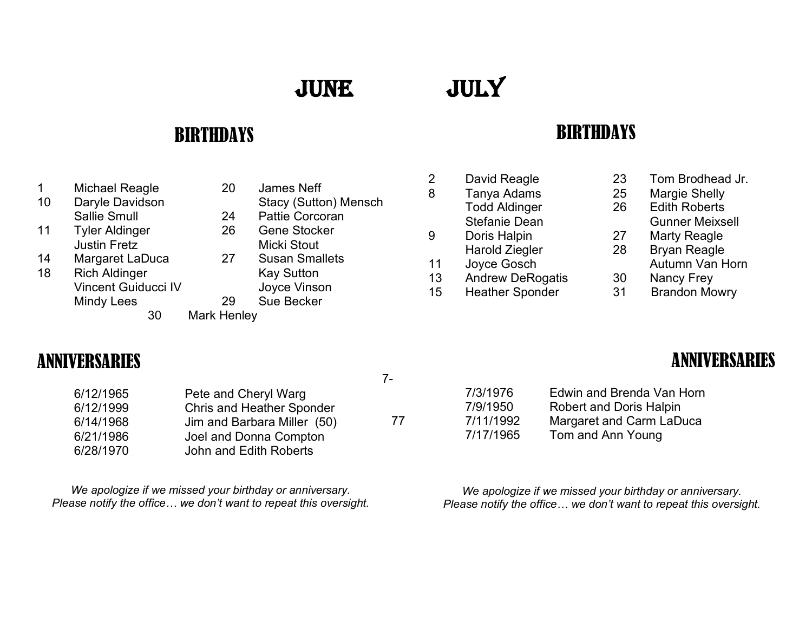# JUNE

JULY

### BIRTHDAYS

- 1 Michael Reagle 20 James Neff<br>10 Daryle Davidson 20 Stacy (Sutto
- 
- 11 Tyler Aldinger 26 Justin Fretz **Micki** Stout
- 14 Margaret LaDuca 27 Susan Smallets
- 18 Rich Aldinger Kay Sutton Vincent Guiducci IV Joyce Vinson Mindy Lees 29 Sue Becker
- 
- 10 Daryle Davidson Stacy (Sutton) Mensch
	- Sallie Smull 24 Pattie Corcoran<br>
	Tyler Aldinger
	26 Gene Stocker
		-
		-
		-
		-
		- 30 Mark Henley

7-

- 
- 
- 
- 
- 

### **BIRTHDAYS**

- 
- 
- 9 Doris Halpin 27 Marty Reagle
- 11 Joyce Gosch Autumn Van Horn
- 13 Andrew DeRogatis 30 Nancy Frey
- 15 Heather Sponder 31 Brandon Mowry
- 2 David Reagle 23 Tom Brodhead Jr.
- 8 Tanya Adams 25 Margie Shelly
	- Todd Aldinger 26 Edith Roberts
	- Stefanie Dean Gunner Meixsell
		-
	- Harold Ziegler 28 Bryan Reagle
		-
		-
		-

### ANNIVERSARIES

| 6/12/1965 | Pete and Cheryl Warg             |
|-----------|----------------------------------|
| 6/12/1999 | <b>Chris and Heather Sponder</b> |
| 6/14/1968 | Jim and Barbara Miller (50)      |
| 6/21/1986 | Joel and Donna Compton           |
| 6/28/1970 | John and Edith Roberts           |

*We apologize if we missed your birthday or anniversary. Please notify the office… we don't want to repeat this oversight.*

## ANNIVERSARIES

7/3/1976 Edwin and Brenda Van Horn 7/9/1950 Robert and Doris Halpin 77 7/11/1992 Margaret and Carm LaDuca 7/17/1965 Tom and Ann Young

> *We apologize if we missed your birthday or anniversary. Please notify the office… we don't want to repeat this oversight.*